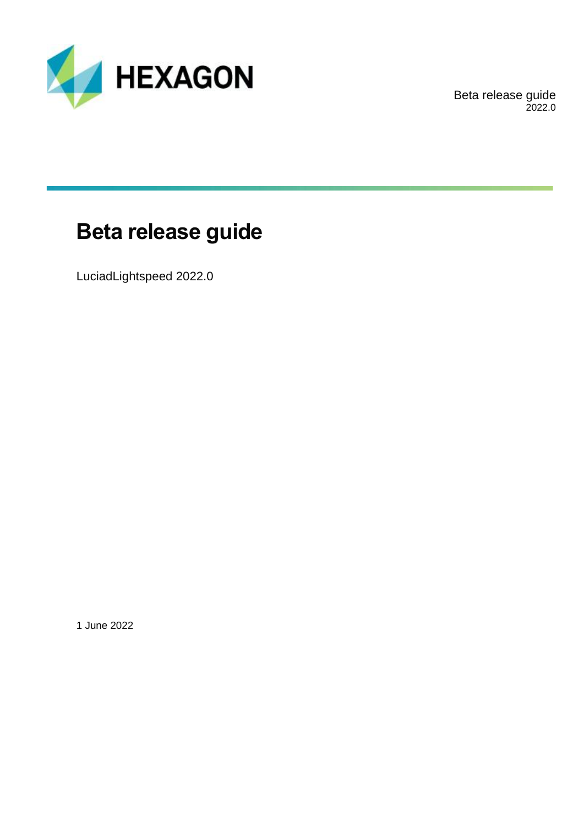

Beta release guide 2022.0

# **Beta release guide**

LuciadLightspeed 2022.0

1 June 2022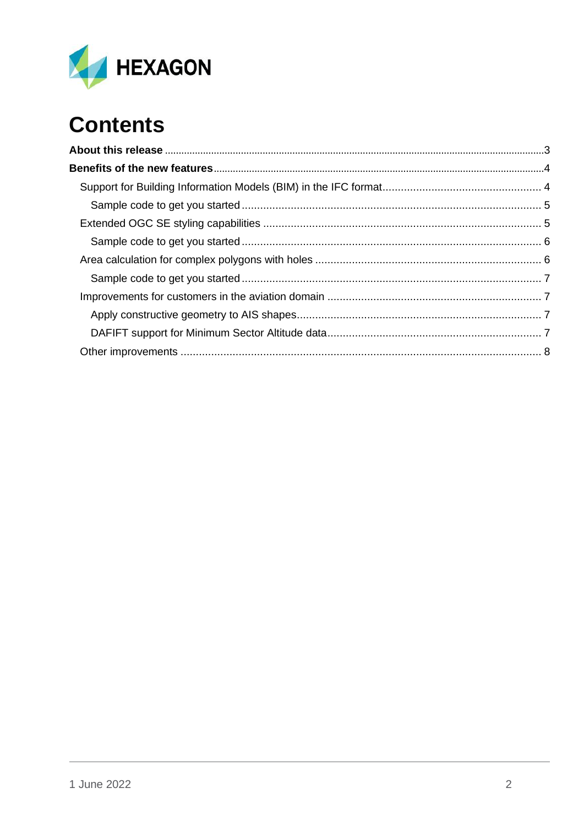

# **Contents**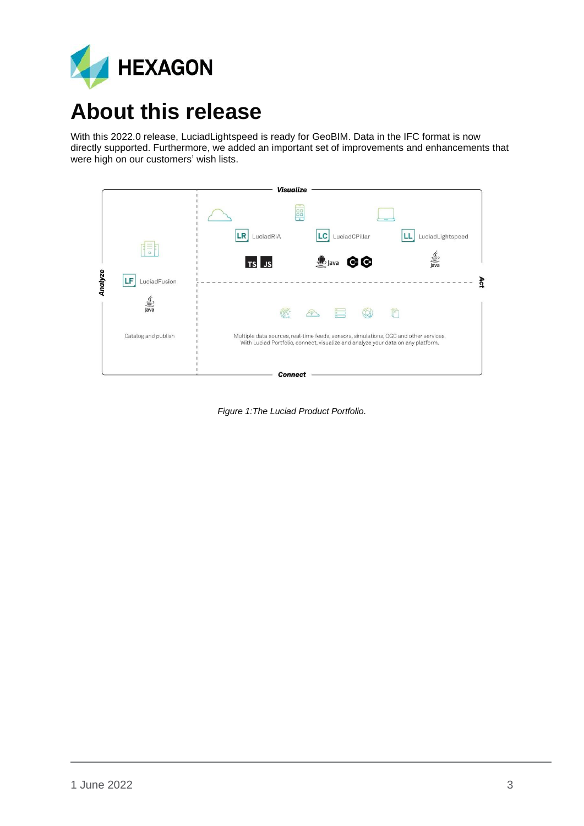

# <span id="page-2-0"></span>**About this release**

With this 2022.0 release, LuciadLightspeed is ready for GeoBIM. Data in the IFC format is now directly supported. Furthermore, we added an important set of improvements and enhancements that were high on our customers' wish lists.



*Figure 1:The Luciad Product Portfolio.*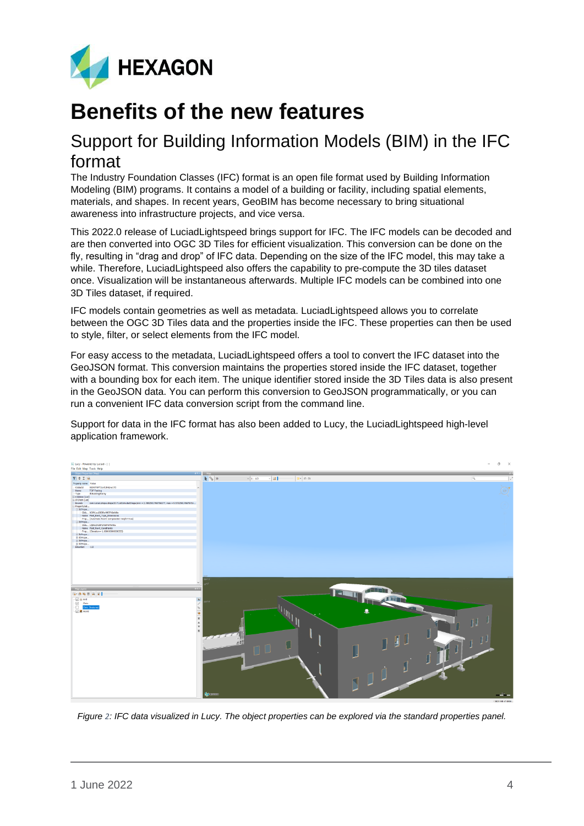

## <span id="page-3-0"></span>**Benefits of the new features**

## <span id="page-3-1"></span>Support for Building Information Models (BIM) in the IFC format

The Industry Foundation Classes (IFC) format is an open file format used by Building Information Modeling (BIM) programs. It contains a model of a building or facility, including spatial elements, materials, and shapes. In recent years, GeoBIM has become necessary to bring situational awareness into infrastructure projects, and vice versa.

This 2022.0 release of LuciadLightspeed brings support for IFC. The IFC models can be decoded and are then converted into OGC 3D Tiles for efficient visualization. This conversion can be done on the fly, resulting in "drag and drop" of IFC data. Depending on the size of the IFC model, this may take a while. Therefore, LuciadLightspeed also offers the capability to pre-compute the 3D tiles dataset once. Visualization will be instantaneous afterwards. Multiple IFC models can be combined into one 3D Tiles dataset, if required.

IFC models contain geometries as well as metadata. LuciadLightspeed allows you to correlate between the OGC 3D Tiles data and the properties inside the IFC. These properties can then be used to style, filter, or select elements from the IFC model.

For easy access to the metadata, LuciadLightspeed offers a tool to convert the IFC dataset into the GeoJSON format. This conversion maintains the properties stored inside the IFC dataset, together with a bounding box for each item. The unique identifier stored inside the 3D Tiles data is also present in the GeoJSON data. You can perform this conversion to GeoJSON programmatically, or you can run a convenient IFC data conversion script from the command line.

Support for data in the IFC format has also been added to Lucy, the LuciadLightspeed high-level application framework.



*Figure 2: IFC data visualized in Lucy. The object properties can be explored via the standard properties panel.*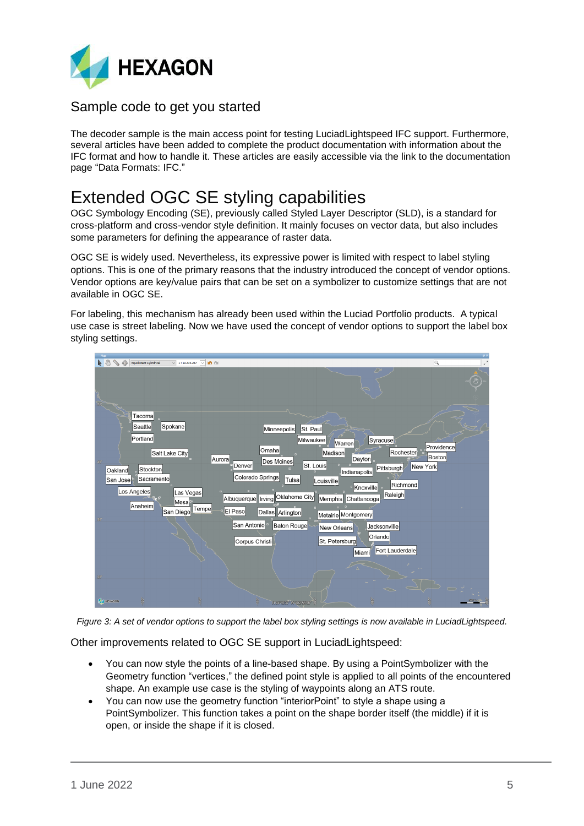

### <span id="page-4-0"></span>Sample code to get you started

The decoder sample is the main access point for testing LuciadLightspeed IFC support. Furthermore, several articles have been added to complete the product documentation with information about the IFC format and how to handle it. These articles are easily accessible via the link to the documentation page "Data Formats: IFC."

## <span id="page-4-1"></span>Extended OGC SE styling capabilities

OGC Symbology Encoding (SE), previously called Styled Layer Descriptor (SLD), is a standard for cross-platform and cross-vendor style definition. It mainly focuses on vector data, but also includes some parameters for defining the appearance of raster data.

OGC SE is widely used. Nevertheless, its expressive power is limited with respect to label styling options. This is one of the primary reasons that the industry introduced the concept of vendor options. Vendor options are key/value pairs that can be set on a symbolizer to customize settings that are not available in OGC SE.

For labeling, this mechanism has already been used within the Luciad Portfolio products. A typical use case is street labeling. Now we have used the concept of vendor options to support the label box styling settings.

| $\sigma$ a<br>Map<br>⊕<br>$\overline{a}$<br>$\vee$ 1:19.304.287 $\vee$ 10 (1)<br>Equidistant Cylindrical               |
|------------------------------------------------------------------------------------------------------------------------|
| A &                                                                                                                    |
|                                                                                                                        |
|                                                                                                                        |
| Tacoma                                                                                                                 |
| Spokane<br>Seattle<br>Minneapolis<br>St. Paul                                                                          |
| Portland<br>Milwaukee<br>Syracuse<br>Warren<br>Providence<br>Omaha<br>Rochester                                        |
| Madison<br>Salt Lake City<br>Boston<br>Dayton<br>Aurora<br>Des Moines<br>$40^\circ$<br>St. Louis<br>Denver<br>New York |
| Pittsburgh<br>Stockton<br>Oakland<br>Indianapolis<br>Colorado Springs<br>Sacramento<br>Tulsa<br>San Jose<br>Louisville |
| Richmond<br>Knoxville <sup>1</sup><br>Los Angeles<br>Las Vegas<br>Raleigh<br>Oklahoma City                             |
| Albuquerque    Irving<br>Memphis Chattanooga<br>Mesa<br>Anaheim<br>Tempe<br>El Paso<br>San Diego                       |
| Dallas Arlington<br>Metairie Montgomery<br>30 <sup>o</sup><br>San Antonio <sup>®</sup><br>Baton Rouge                  |
| Jacksonville<br>New Orleans<br>Orlando<br>St. Petersburg                                                               |
| Corpus Christi<br>Fort Lauderdale<br>Miami                                                                             |
|                                                                                                                        |
| $20^{\circ}$                                                                                                           |
| コロミ                                                                                                                    |
| à<br><b>A HEXAGON</b><br>N 24°12'37" W 102'55'03"                                                                      |

*Figure 3: A set of vendor options to support the label box styling settings is now available in LuciadLightspeed.*

Other improvements related to OGC SE support in LuciadLightspeed:

- You can now style the points of a line-based shape. By using a PointSymbolizer with the Geometry function "vertices," the defined point style is applied to all points of the encountered shape. An example use case is the styling of waypoints along an ATS route.
- You can now use the geometry function "interiorPoint" to style a shape using a PointSymbolizer. This function takes a point on the shape border itself (the middle) if it is open, or inside the shape if it is closed.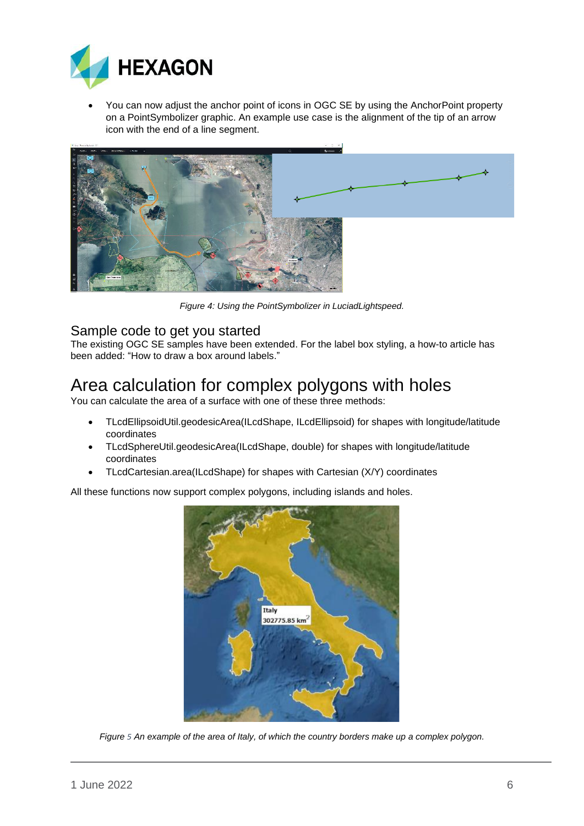

• You can now adjust the anchor point of icons in OGC SE by using the AnchorPoint property on a PointSymbolizer graphic. An example use case is the alignment of the tip of an arrow icon with the end of a line segment.



*Figure 4: Using the PointSymbolizer in LuciadLightspeed.*

### <span id="page-5-0"></span>Sample code to get you started

The existing OGC SE samples have been extended. For the label box styling, a how-to article has been added: "How to draw a box around labels."

## <span id="page-5-1"></span>Area calculation for complex polygons with holes

You can calculate the area of a surface with one of these three methods:

- TLcdEllipsoidUtil.geodesicArea(ILcdShape, ILcdEllipsoid) for shapes with longitude/latitude coordinates
- TLcdSphereUtil.geodesicArea(ILcdShape, double) for shapes with longitude/latitude coordinates
- TLcdCartesian.area(ILcdShape) for shapes with Cartesian (X/Y) coordinates

All these functions now support complex polygons, including islands and holes.



*Figure 5 An example of the area of Italy, of which the country borders make up a complex polygon.*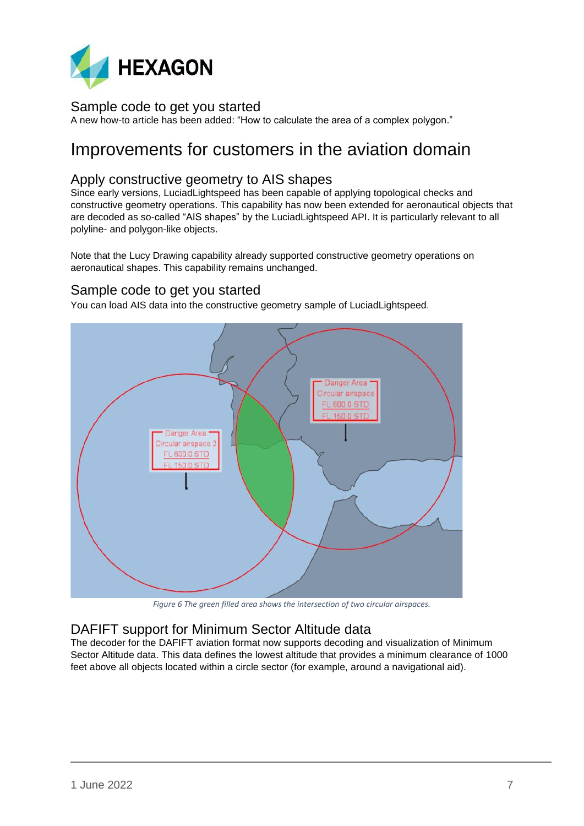

### <span id="page-6-0"></span>Sample code to get you started

A new how-to article has been added: "How to calculate the area of a complex polygon."

### <span id="page-6-1"></span>Improvements for customers in the aviation domain

### <span id="page-6-2"></span>Apply constructive geometry to AIS shapes

Since early versions, LuciadLightspeed has been capable of applying topological checks and constructive geometry operations. This capability has now been extended for aeronautical objects that are decoded as so-called "AIS shapes" by the LuciadLightspeed API. It is particularly relevant to all polyline- and polygon-like objects.

Note that the Lucy Drawing capability already supported constructive geometry operations on aeronautical shapes. This capability remains unchanged.

#### Sample code to get you started

You can load AIS data into the constructive geometry sample of LuciadLightspeed.



*Figure 6 The green filled area shows the intersection of two circular airspaces.*

### <span id="page-6-3"></span>DAFIFT support for Minimum Sector Altitude data

The decoder for the DAFIFT aviation format now supports decoding and visualization of Minimum Sector Altitude data. This data defines the lowest altitude that provides a minimum clearance of 1000 feet above all objects located within a circle sector (for example, around a navigational aid).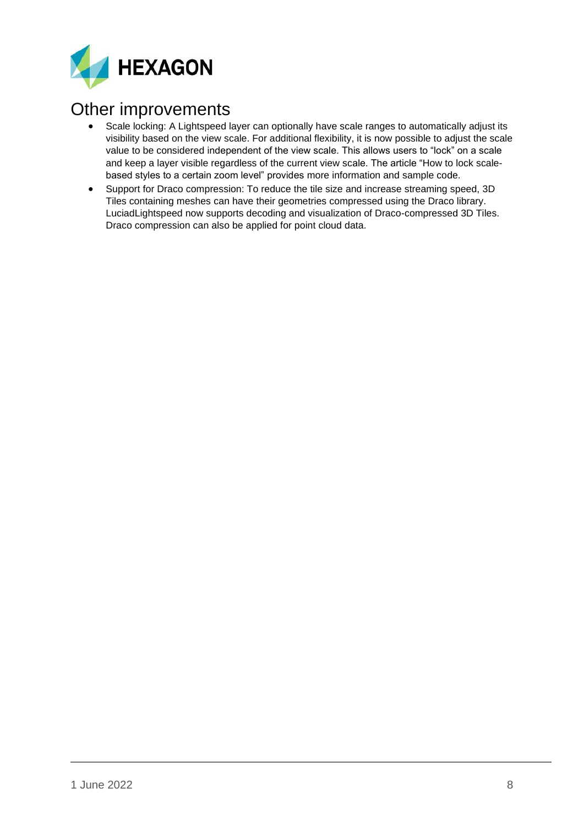

## <span id="page-7-0"></span>Other improvements

- Scale locking: A Lightspeed layer can optionally have scale ranges to automatically adjust its visibility based on the view scale. For additional flexibility, it is now possible to adjust the scale value to be considered independent of the view scale. This allows users to "lock" on a scale and keep a layer visible regardless of the current view scale. The article "How to lock scalebased styles to a certain zoom level" provides more information and sample code.
- Support for Draco compression: To reduce the tile size and increase streaming speed, 3D Tiles containing meshes can have their geometries compressed using the Draco library. LuciadLightspeed now supports decoding and visualization of Draco-compressed 3D Tiles. Draco compression can also be applied for point cloud data.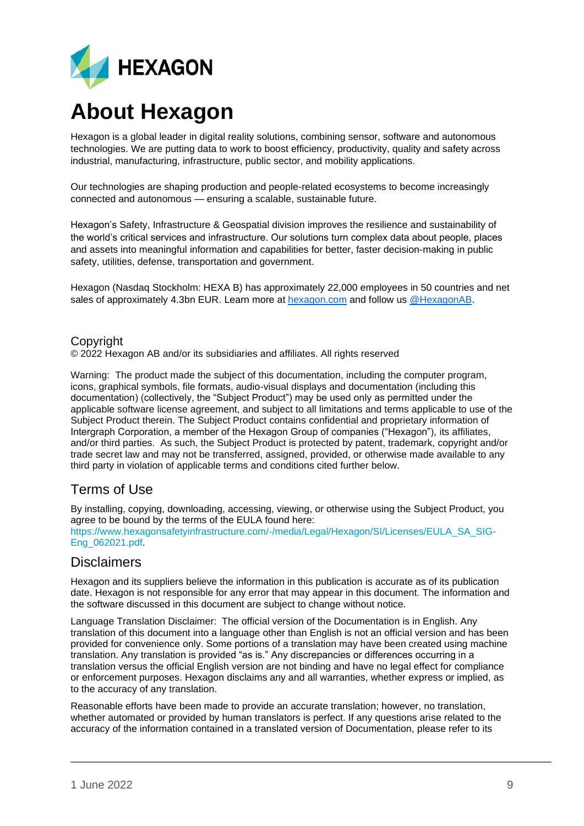

# **About Hexagon**

Hexagon is a global leader in digital reality solutions, combining sensor, software and autonomous technologies. We are putting data to work to boost efficiency, productivity, quality and safety across industrial, manufacturing, infrastructure, public sector, and mobility applications.

Our technologies are shaping production and people-related ecosystems to become increasingly connected and autonomous — ensuring a scalable, sustainable future.

Hexagon's Safety, Infrastructure & Geospatial division improves the resilience and sustainability of the world's critical services and infrastructure. Our solutions turn complex data about people, places and assets into meaningful information and capabilities for better, faster decision-making in public safety, utilities, defense, transportation and government.

Hexagon (Nasdaq Stockholm: HEXA B) has approximately 22,000 employees in 50 countries and net sales of approximately 4.3bn EUR. Learn more at [hexagon.com](https://hexagon.com/) and follow us [@HexagonAB.](https://twitter.com/hexagonab)

#### Copyright

© 2022 Hexagon AB and/or its subsidiaries and affiliates. All rights reserved

Warning: The product made the subject of this documentation, including the computer program, icons, graphical symbols, file formats, audio-visual displays and documentation (including this documentation) (collectively, the "Subject Product") may be used only as permitted under the applicable software license agreement, and subject to all limitations and terms applicable to use of the Subject Product therein. The Subject Product contains confidential and proprietary information of Intergraph Corporation, a member of the Hexagon Group of companies ("Hexagon"), its affiliates, and/or third parties. As such, the Subject Product is protected by patent, trademark, copyright and/or trade secret law and may not be transferred, assigned, provided, or otherwise made available to any third party in violation of applicable terms and conditions cited further below.

### Terms of Use

By installing, copying, downloading, accessing, viewing, or otherwise using the Subject Product, you agree to be bound by the terms of the EULA found here:

[https://www.hexagonsafetyinfrastructure.com/-/media/Legal/Hexagon/SI/Licenses/EULA\\_SA\\_SIG-](https://www.hexagonsafetyinfrastructure.com/-/media/Legal/Hexagon/SI/Licenses/EULA_SA_SIG-Eng_062021.pdf)[Eng\\_062021.pdf.](https://www.hexagonsafetyinfrastructure.com/-/media/Legal/Hexagon/SI/Licenses/EULA_SA_SIG-Eng_062021.pdf)

#### **Disclaimers**

Hexagon and its suppliers believe the information in this publication is accurate as of its publication date. Hexagon is not responsible for any error that may appear in this document. The information and the software discussed in this document are subject to change without notice.

Language Translation Disclaimer: The official version of the Documentation is in English. Any translation of this document into a language other than English is not an official version and has been provided for convenience only. Some portions of a translation may have been created using machine translation. Any translation is provided "as is." Any discrepancies or differences occurring in a translation versus the official English version are not binding and have no legal effect for compliance or enforcement purposes. Hexagon disclaims any and all warranties, whether express or implied, as to the accuracy of any translation.

Reasonable efforts have been made to provide an accurate translation; however, no translation, whether automated or provided by human translators is perfect. If any questions arise related to the accuracy of the information contained in a translated version of Documentation, please refer to its